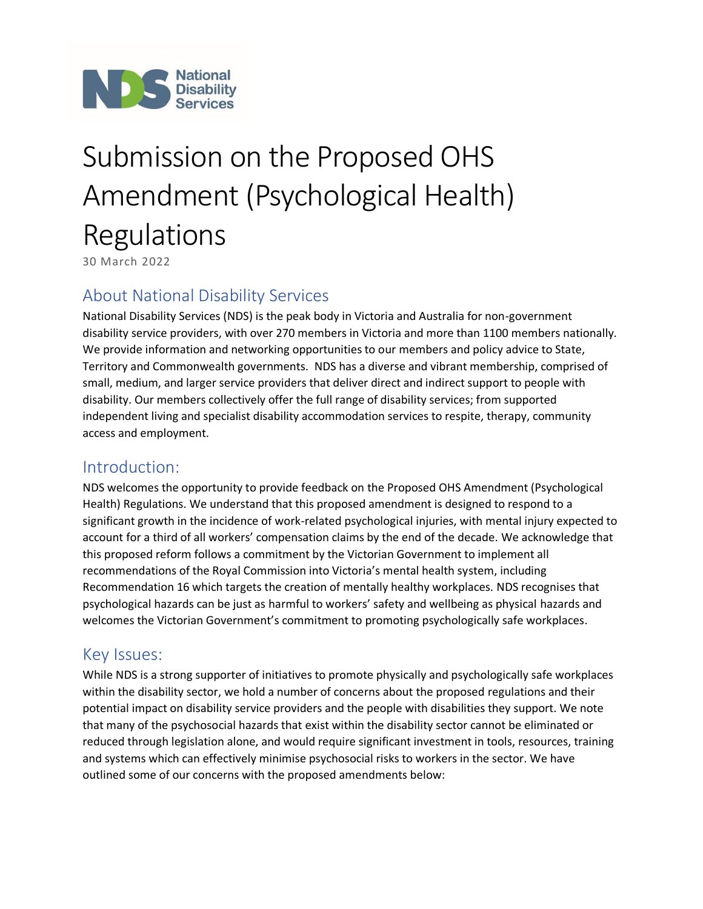

# Submission on the Proposed OHS Amendment (Psychological Health) Regulations

30 March 2022

## About National Disability Services

National Disability Services (NDS) is the peak body in Victoria and Australia for non-government disability service providers, with over 270 members in Victoria and more than 1100 members nationally. We provide information and networking opportunities to our members and policy advice to State, Territory and Commonwealth governments. NDS has a diverse and vibrant membership, comprised of small, medium, and larger service providers that deliver direct and indirect support to people with disability. Our members collectively offer the full range of disability services; from supported independent living and specialist disability accommodation services to respite, therapy, community access and employment.

## Introduction:

NDS welcomes the opportunity to provide feedback on the Proposed OHS Amendment (Psychological Health) Regulations. We understand that this proposed amendment is designed to respond to a significant growth in the incidence of work-related psychological injuries, with mental injury expected to account for a third of all workers' compensation claims by the end of the decade. We acknowledge that this proposed reform follows a commitment by the Victorian Government to implement all recommendations of the Royal Commission into Victoria's mental health system, including Recommendation 16 which targets the creation of mentally healthy workplaces. NDS recognises that psychological hazards can be just as harmful to workers' safety and wellbeing as physical hazards and welcomes the Victorian Government's commitment to promoting psychologically safe workplaces.

## Key Issues:

While NDS is a strong supporter of initiatives to promote physically and psychologically safe workplaces within the disability sector, we hold a number of concerns about the proposed regulations and their potential impact on disability service providers and the people with disabilities they support. We note that many of the psychosocial hazards that exist within the disability sector cannot be eliminated or reduced through legislation alone, and would require significant investment in tools, resources, training and systems which can effectively minimise psychosocial risks to workers in the sector. We have outlined some of our concerns with the proposed amendments below: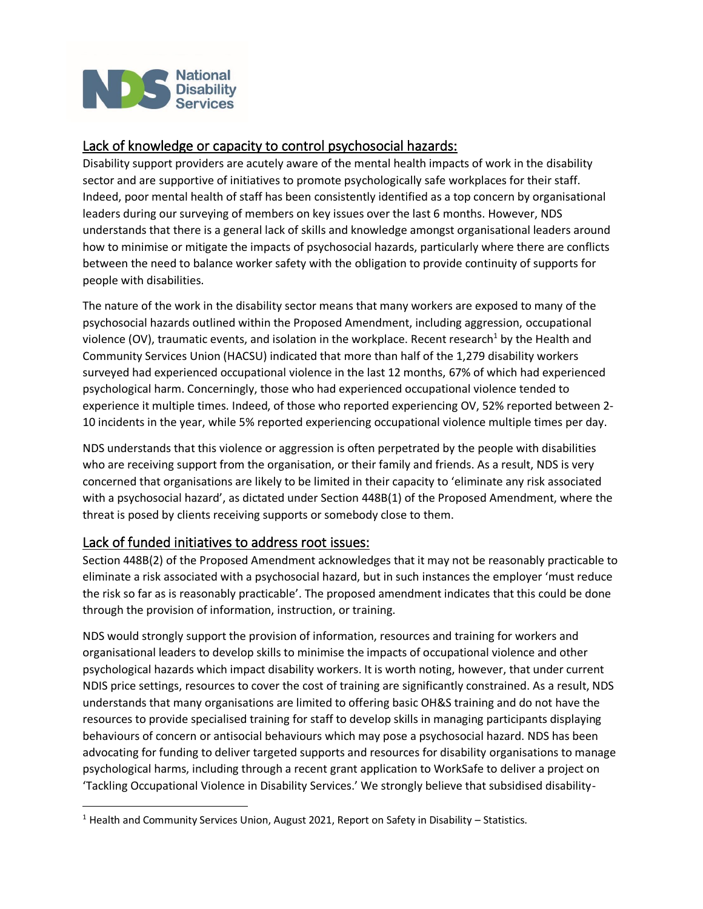

#### Lack of knowledge or capacity to control psychosocial hazards:

Disability support providers are acutely aware of the mental health impacts of work in the disability sector and are supportive of initiatives to promote psychologically safe workplaces for their staff. Indeed, poor mental health of staff has been consistently identified as a top concern by organisational leaders during our surveying of members on key issues over the last 6 months. However, NDS understands that there is a general lack of skills and knowledge amongst organisational leaders around how to minimise or mitigate the impacts of psychosocial hazards, particularly where there are conflicts between the need to balance worker safety with the obligation to provide continuity of supports for people with disabilities.

The nature of the work in the disability sector means that many workers are exposed to many of the psychosocial hazards outlined within the Proposed Amendment, including aggression, occupational violence (OV), traumatic events, and isolation in the workplace. Recent research<sup>1</sup> by the Health and Community Services Union (HACSU) indicated that more than half of the 1,279 disability workers surveyed had experienced occupational violence in the last 12 months, 67% of which had experienced psychological harm. Concerningly, those who had experienced occupational violence tended to experience it multiple times. Indeed, of those who reported experiencing OV, 52% reported between 2- 10 incidents in the year, while 5% reported experiencing occupational violence multiple times per day.

NDS understands that this violence or aggression is often perpetrated by the people with disabilities who are receiving support from the organisation, or their family and friends. As a result, NDS is very concerned that organisations are likely to be limited in their capacity to 'eliminate any risk associated with a psychosocial hazard', as dictated under Section 448B(1) of the Proposed Amendment, where the threat is posed by clients receiving supports or somebody close to them.

#### Lack of funded initiatives to address root issues:

Section 448B(2) of the Proposed Amendment acknowledges that it may not be reasonably practicable to eliminate a risk associated with a psychosocial hazard, but in such instances the employer 'must reduce the risk so far as is reasonably practicable'. The proposed amendment indicates that this could be done through the provision of information, instruction, or training.

NDS would strongly support the provision of information, resources and training for workers and organisational leaders to develop skills to minimise the impacts of occupational violence and other psychological hazards which impact disability workers. It is worth noting, however, that under current NDIS price settings, resources to cover the cost of training are significantly constrained. As a result, NDS understands that many organisations are limited to offering basic OH&S training and do not have the resources to provide specialised training for staff to develop skills in managing participants displaying behaviours of concern or antisocial behaviours which may pose a psychosocial hazard. NDS has been advocating for funding to deliver targeted supports and resources for disability organisations to manage psychological harms, including through a recent grant application to WorkSafe to deliver a project on 'Tackling Occupational Violence in Disability Services.' We strongly believe that subsidised disability-

 $<sup>1</sup>$  Health and Community Services Union, August 2021, Report on Safety in Disability – Statistics.</sup>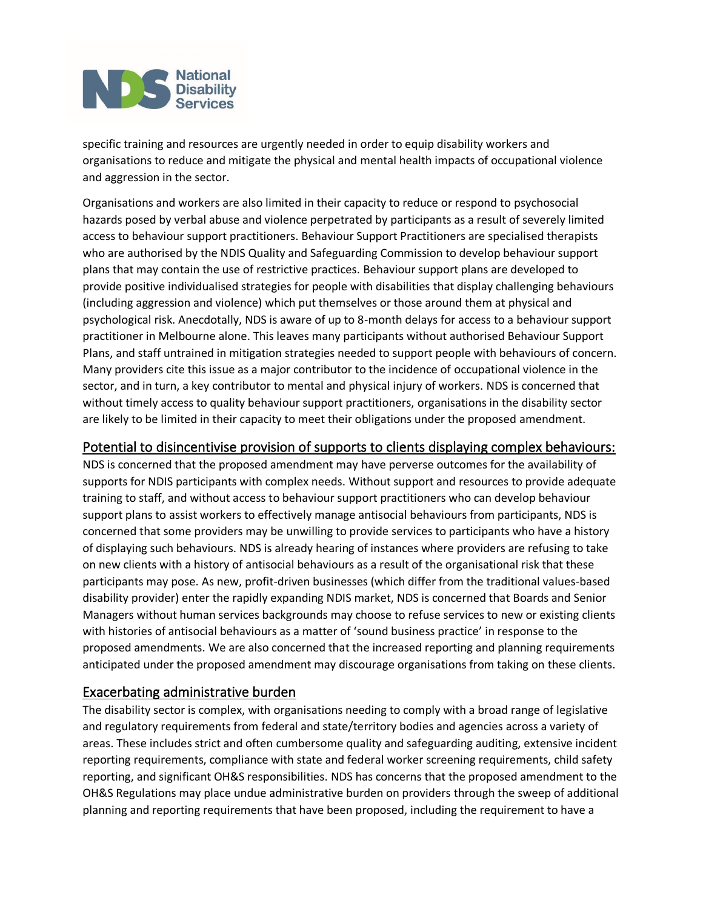

specific training and resources are urgently needed in order to equip disability workers and organisations to reduce and mitigate the physical and mental health impacts of occupational violence and aggression in the sector.

Organisations and workers are also limited in their capacity to reduce or respond to psychosocial hazards posed by verbal abuse and violence perpetrated by participants as a result of severely limited access to behaviour support practitioners. Behaviour Support Practitioners are specialised therapists who are authorised by the NDIS Quality and Safeguarding Commission to develop behaviour support plans that may contain the use of restrictive practices. Behaviour support plans are developed to provide positive individualised strategies for people with disabilities that display challenging behaviours (including aggression and violence) which put themselves or those around them at physical and psychological risk. Anecdotally, NDS is aware of up to 8-month delays for access to a behaviour support practitioner in Melbourne alone. This leaves many participants without authorised Behaviour Support Plans, and staff untrained in mitigation strategies needed to support people with behaviours of concern. Many providers cite this issue as a major contributor to the incidence of occupational violence in the sector, and in turn, a key contributor to mental and physical injury of workers. NDS is concerned that without timely access to quality behaviour support practitioners, organisations in the disability sector are likely to be limited in their capacity to meet their obligations under the proposed amendment.

#### Potential to disincentivise provision of supports to clients displaying complex behaviours:

NDS is concerned that the proposed amendment may have perverse outcomes for the availability of supports for NDIS participants with complex needs. Without support and resources to provide adequate training to staff, and without access to behaviour support practitioners who can develop behaviour support plans to assist workers to effectively manage antisocial behaviours from participants, NDS is concerned that some providers may be unwilling to provide services to participants who have a history of displaying such behaviours. NDS is already hearing of instances where providers are refusing to take on new clients with a history of antisocial behaviours as a result of the organisational risk that these participants may pose. As new, profit-driven businesses (which differ from the traditional values-based disability provider) enter the rapidly expanding NDIS market, NDS is concerned that Boards and Senior Managers without human services backgrounds may choose to refuse services to new or existing clients with histories of antisocial behaviours as a matter of 'sound business practice' in response to the proposed amendments. We are also concerned that the increased reporting and planning requirements anticipated under the proposed amendment may discourage organisations from taking on these clients.

#### Exacerbating administrative burden

The disability sector is complex, with organisations needing to comply with a broad range of legislative and regulatory requirements from federal and state/territory bodies and agencies across a variety of areas. These includes strict and often cumbersome quality and safeguarding auditing, extensive incident reporting requirements, compliance with state and federal worker screening requirements, child safety reporting, and significant OH&S responsibilities. NDS has concerns that the proposed amendment to the OH&S Regulations may place undue administrative burden on providers through the sweep of additional planning and reporting requirements that have been proposed, including the requirement to have a